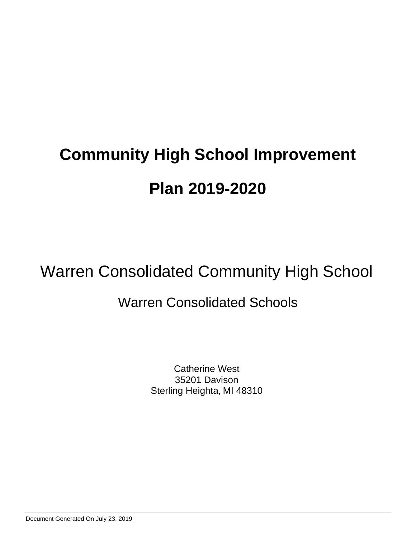## Warren Consolidated Community High School

### Warren Consolidated Schools

Catherine West 35201 Davison Sterling Heighta, MI 48310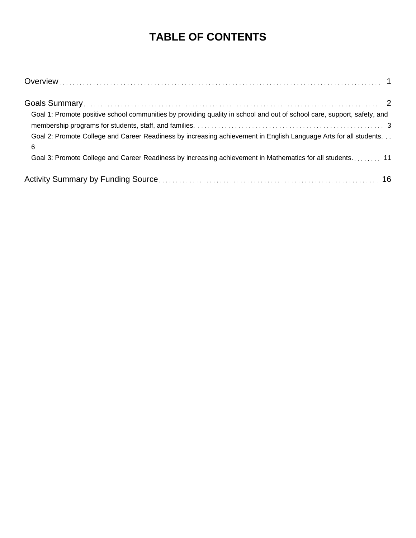### **TABLE OF CONTENTS**

| Goal 1: Promote positive school communities by providing quality in school and out of school care, support, safety, and |
|-------------------------------------------------------------------------------------------------------------------------|
| Goal 2: Promote College and Career Readiness by increasing achievement in English Language Arts for all students<br>6   |
| Goal 3: Promote College and Career Readiness by increasing achievement in Mathematics for all students 11               |
|                                                                                                                         |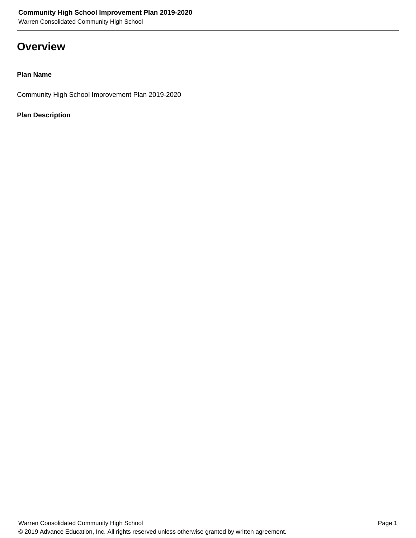Warren Consolidated Community High School

### **Overview**

### **Plan Name**

Community High School Improvement Plan 2019-2020

### **Plan Description**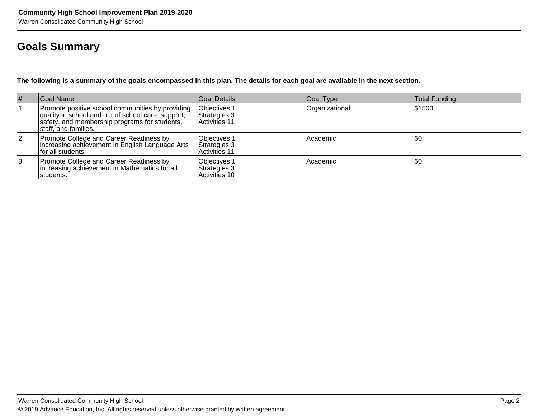### **Goals Summary**

**The following is a summary of the goals encompassed in this plan. The details for each goal are available in the next section.**

| $\vert \#$ | Goal Name                                                                                                                                                                        | <b>Goal Details</b>                              | Goal Type      | Total Funding |
|------------|----------------------------------------------------------------------------------------------------------------------------------------------------------------------------------|--------------------------------------------------|----------------|---------------|
|            | Promote positive school communities by providing<br>quality in school and out of school care, support,<br>safety, and membership programs for students,<br>lstaff. and families. | Objectives: 1<br>Strategies: 3<br>Activities: 11 | Organizational | \$1500        |
| 2          | Promote College and Career Readiness by<br>increasing achievement in English Language Arts<br>for all students.                                                                  | Objectives: 1<br>Strategies: 3<br>Activities: 11 | Academic       | \$0           |
| 13         | Promote College and Career Readiness by<br>increasing achievement in Mathematics for all<br>students.                                                                            | Objectives: 1<br>Strategies: 3<br>Activities: 10 | Academic       | \$0           |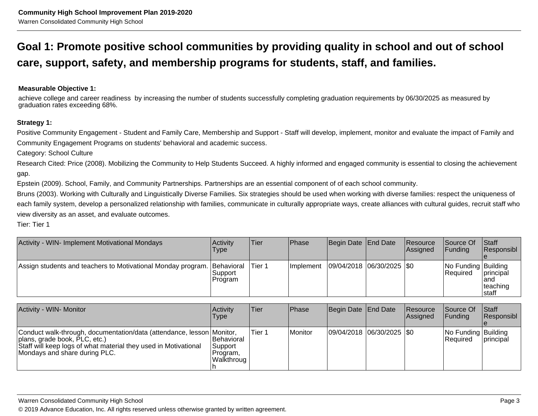### **Goal 1: Promote positive school communities by providing quality in school and out of schoolcare, support, safety, and membership programs for students, staff, and families.**

**Measurable Objective 1:**

achieve college and career readiness by increasing the number of students successfully completing graduation requirements by 06/30/2025 as measured bygraduation rates exceeding 68%.

### **Strategy 1:**

Positive Community Engagement - Student and Family Care, Membership and Support - Staff will develop, implement, monitor and evaluate the impact of Family and Community Engagement Programs on students' behavioral and academic success.

Category: School Culture

Research Cited: Price (2008). Mobilizing the Community to Help Students Succeed. A highly informed and engaged community is essential to closing the achievement gap.

Epstein (2009). School, Family, and Community Partnerships. Partnerships are an essential component of of each school community.

Bruns (2003). Working with Culturally and Linguistically Diverse Families. Six strategies should be used when working with diverse families: respect the uniqueness ofeach family system, develop a personalized relationship with families, communicate in culturally appropriate ways, create alliances with cultural guides, recruit staff whoview diversity as an asset, and evaluate outcomes.

Tier: Tier 1

| Activity - WIN- Implement Motivational Mondays                          | <b>Activity</b><br>Type | Tier   | Phase             | Begin Date   End Date   | <b>Resource</b><br>Assigned | <b>Source Of</b><br>IFundina            | <b>Staff</b><br>Responsibl              |
|-------------------------------------------------------------------------|-------------------------|--------|-------------------|-------------------------|-----------------------------|-----------------------------------------|-----------------------------------------|
| Assign students and teachers to Motivational Monday program. Behavioral | Support<br>Program      | Tier 1 | <b>Ilmplement</b> | 09/04/2018 06/30/2025 0 |                             | No Funding Building<br><b>IRequired</b> | principal<br>land<br>teaching<br>Istaff |

| Activity - WIN- Monitor                                                                                                                                                                                     | <b>Activity</b><br><b>Type</b>                          | lTier  | Phase   | Begin Date End Date           | Resource<br>Assigned | Source Of<br><b>IFunding</b>      | <b>Staff</b><br>Responsibl |
|-------------------------------------------------------------------------------------------------------------------------------------------------------------------------------------------------------------|---------------------------------------------------------|--------|---------|-------------------------------|----------------------|-----------------------------------|----------------------------|
| Conduct walk-through, documentation/data (attendance, lesson Monitor,<br>(plans, grade book, PLC, etc.)<br>Staff will keep logs of what material they used in Motivational<br>Mondays and share during PLC. | <b>Behavioral</b><br>Support<br>Program.<br>lWalkthroug | Tier 1 | Monitor | $ 09/04/2018 06/30/2025 $ \$0 |                      | No Funding Building<br>l Reauired | <b>principal</b>           |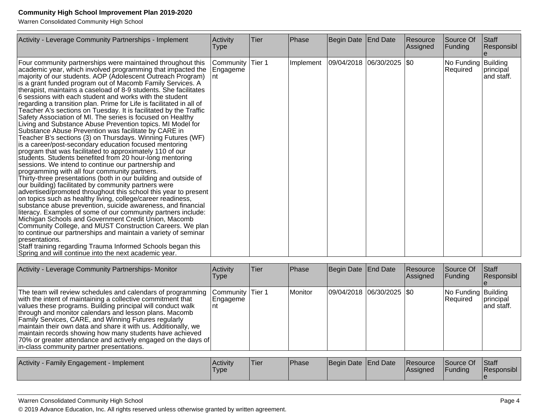Warren Consolidated Community High School

| Activity - Leverage Community Partnerships - Implement                                                                                                                                                                                                                                                                                                                                                                                                                                                                                                                                                                                                                                                                                                                                                                                                                                                                                                                                                                                                                                                                                                                                                                                                                                                                                                                                                                                                                                                                                                                                                                                                                                                                                                                                                          | Activity<br><b>Type</b>      | lTier  | Phase     | Begin Date End Date       | Resource<br>Assigned | Source Of<br>Funding            | Staff<br>Responsibl     |
|-----------------------------------------------------------------------------------------------------------------------------------------------------------------------------------------------------------------------------------------------------------------------------------------------------------------------------------------------------------------------------------------------------------------------------------------------------------------------------------------------------------------------------------------------------------------------------------------------------------------------------------------------------------------------------------------------------------------------------------------------------------------------------------------------------------------------------------------------------------------------------------------------------------------------------------------------------------------------------------------------------------------------------------------------------------------------------------------------------------------------------------------------------------------------------------------------------------------------------------------------------------------------------------------------------------------------------------------------------------------------------------------------------------------------------------------------------------------------------------------------------------------------------------------------------------------------------------------------------------------------------------------------------------------------------------------------------------------------------------------------------------------------------------------------------------------|------------------------------|--------|-----------|---------------------------|----------------------|---------------------------------|-------------------------|
| Four community partnerships were maintained throughout this<br>academic year, which involved programming that impacted the<br>majority of our students. AOP (Adolescent Outreach Program)<br>is a grant funded program out of Macomb Family Services. A<br>therapist, maintains a caseload of 8-9 students. She facilitates<br>6 sessions with each student and works with the student<br>regarding a transition plan. Prime for Life is facilitated in all of<br>Teacher A's sections on Tuesday. It is facilitated by the Traffic<br>Safety Association of MI. The series is focused on Healthy<br>Living and Substance Abuse Prevention topics. MI Model for<br>Substance Abuse Prevention was facilitate by CARE in<br>Teacher B's sections (3) on Thursdays. Winning Futures (WF)<br>is a career/post-secondary education focused mentoring<br>program that was facilitated to approximately 110 of our<br>students. Students benefited from 20 hour-long mentoring<br>sessions. We intend to continue our partnership and<br>programming with all four community partners.<br>Thirty-three presentations (both in our building and outside of<br>our building) facilitated by community partners were<br>advertised/promoted throughout this school this year to present<br>on topics such as healthy living, college/career readiness,<br>substance abuse prevention, suicide awareness, and financial<br>literacy. Examples of some of our community partners include:<br>Michigan Schools and Government Credit Union, Macomb<br>Community College, and MUST Construction Careers. We plan<br>to continue our partnerships and maintain a variety of seminar<br>presentations.<br>Staff training regarding Trauma Informed Schools began this<br>Spring and will continue into the next academic year. | Community<br>Engageme<br>Int | Tier 1 | Implement | 09/04/2018 06/30/2025 \$0 |                      | No Funding Building<br>Required | principal<br>and staff. |

| Activity - Leverage Community Partnerships- Monitor                                                                                                                                                                                                                                                                                                                                                                                                                                                                                                     | Activity<br>Type              | lTier. | Phase   | Begin Date End Date       | Resource<br>Assigned | Source Of<br> Funding           | <b>Staff</b><br>Responsibl |
|---------------------------------------------------------------------------------------------------------------------------------------------------------------------------------------------------------------------------------------------------------------------------------------------------------------------------------------------------------------------------------------------------------------------------------------------------------------------------------------------------------------------------------------------------------|-------------------------------|--------|---------|---------------------------|----------------------|---------------------------------|----------------------------|
| The team will review schedules and calendars of programming<br>with the intent of maintaining a collective commitment that<br>values these programs. Building principal will conduct walk<br>through and monitor calendars and lesson plans. Macomb<br>Family Services, CARE, and Winning Futures regularly<br>maintain their own data and share it with us. Additionally, we<br>maintain records showing how many students have achieved<br>70% or greater attendance and actively engaged on the days of<br>in-class community partner presentations. | Community Tier 1<br> Engageme |        | Monitor | 09/04/2018 06/30/2025 \$0 |                      | No Funding Building<br>Required | principal<br>land staff.   |
| .                                                                                                                                                                                                                                                                                                                                                                                                                                                                                                                                                       | $\mathbf{A}$ and $\mathbf{A}$ |        |         | $\sim$ $\sim$ $\sim$      |                      |                                 | $\sim$ $\sim$ $\sim$       |

| <b>Activity</b><br>y - Family Engagement - Implement | <b>Activity</b><br>Type | 'Tier | <b>IPhase</b> | Begin Date End Date |  | <b>Resource</b><br><b>Assigned</b> | Source Of<br><b>IFunding</b> | <b>Staff</b><br><b>Responsibl</b> |
|------------------------------------------------------|-------------------------|-------|---------------|---------------------|--|------------------------------------|------------------------------|-----------------------------------|
|------------------------------------------------------|-------------------------|-------|---------------|---------------------|--|------------------------------------|------------------------------|-----------------------------------|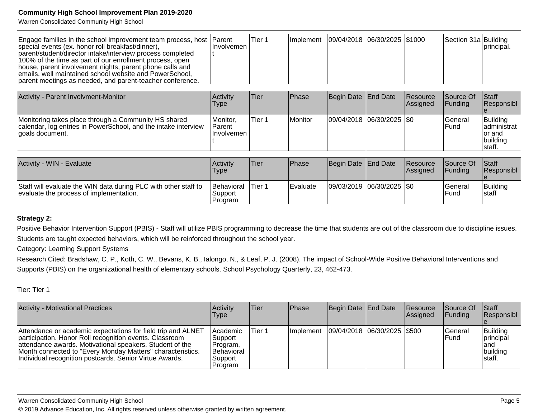Warren Consolidated Community High School

| Engage families in the school improvement team process, host Parent<br>special events (ex. honor roll breakfast/dinner),                                                                                                                                                                                   | ∣Involvemen | Tier 1 | Implement   09/04/2018   06/30/2025   \$1000 |  | Section 31a Building | principal. |
|------------------------------------------------------------------------------------------------------------------------------------------------------------------------------------------------------------------------------------------------------------------------------------------------------------|-------------|--------|----------------------------------------------|--|----------------------|------------|
| parent/student/director intake/interview process completed<br>100% of the time as part of our enrollment process, open<br>house, parent involvement nights, parent phone calls and<br>emails, well maintained school website and PowerSchool,<br>parent meetings as needed, and parent-teacher conference. |             |        |                                              |  |                      |            |

| Activity - Parent Involvment-Monitor                                                                                                      | Activity<br>Type                                    | Tier   | <b>Phase</b> | Begin Date   End Date   | Resource<br>Assigned | Source Of<br>IFundina    | <b>Staff</b><br>Responsibl                                |
|-------------------------------------------------------------------------------------------------------------------------------------------|-----------------------------------------------------|--------|--------------|-------------------------|----------------------|--------------------------|-----------------------------------------------------------|
| Monitoring takes place through a Community HS shared<br>calendar, log entries in PowerSchool, and the intake interview<br>ooals document. | <i>I</i> Monitor.<br><b>IParent</b><br>Involvemen l | Tier 1 | Monitor      | 09/04/2018 06/30/2025 0 |                      | <b>General</b><br>l Fund | Building<br>ladministrat<br>Tor and<br>building<br>staff. |

| Activity - WIN - Evaluate                                                                                  | Activity<br><b>Type</b>                  | Tier   | Phase    | Begin Date End Date         | <b>Resource</b><br><b>Assigned</b> | Source Of<br><b>IFundina</b>    | <b>Staff</b><br><b>Responsibl</b> |
|------------------------------------------------------------------------------------------------------------|------------------------------------------|--------|----------|-----------------------------|------------------------------------|---------------------------------|-----------------------------------|
| Staff will evaluate the WIN data during PLC with other staff to<br>evaluate the process of implementation. | <b>Behavioral</b><br>'Support<br>Program | Tier 1 | Evaluate | 09/03/2019  06/30/2025  \$0 |                                    | <b>IGeneral</b><br><b>IFund</b> | Building<br><b>Istaff</b>         |

### **Strategy 2:**

Positive Behavior Intervention Support (PBIS) - Staff will utilize PBIS programming to decrease the time that students are out of the classroom due to discipline issues. Students are taught expected behaviors, which will be reinforced throughout the school year.

Category: Learning Support Systems

Research Cited: Bradshaw, C. P., Koth, C. W., Bevans, K. B., Ialongo, N., & Leaf, P. J. (2008). The impact of School-Wide Positive Behavioral Interventions and Supports (PBIS) on the organizational health of elementary schools. School Psychology Quarterly, 23, 462-473.

Tier: Tier 1

| <b>Activity - Motivational Practices</b>                                                                                                                                                                                                                                                                     | <b>Activity</b><br><b>Type</b>                                              | lTier: | <b>IPhase</b>    | Begin Date End Date         | Resource<br>Assigned | Source Of<br>IFundina           | Staff<br>Responsibl                                  |
|--------------------------------------------------------------------------------------------------------------------------------------------------------------------------------------------------------------------------------------------------------------------------------------------------------------|-----------------------------------------------------------------------------|--------|------------------|-----------------------------|----------------------|---------------------------------|------------------------------------------------------|
| Attendance or academic expectations for field trip and ALNET<br>participation. Honor Roll recognition events. Classroom<br>attendance awards. Motivational speakers. Student of the<br>Month connected to "Every Monday Matters" characteristics.<br>Individual recognition postcards. Senior Virtue Awards. | <b>Academic</b><br>Support<br>Program,<br>Behavioral<br>Support<br>∣Program | Tier 1 | <b>Implement</b> | 09/04/2018 06/30/2025 \$500 |                      | <b>IGeneral</b><br><b>IFund</b> | Building<br>principal<br>land<br>building<br>Istaff. |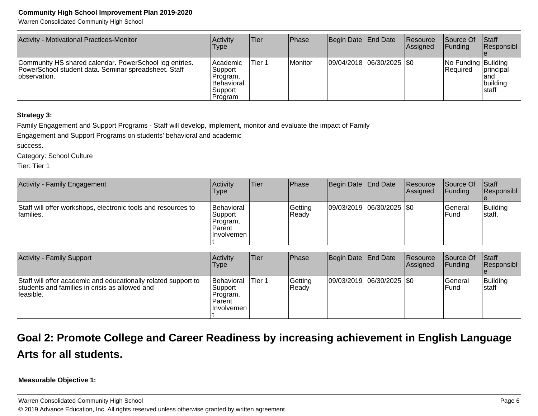Warren Consolidated Community High School

| Activity - Motivational Practices-Monitor                                                                                       | Activity<br>Type                                                           | Tier   | <b>Phase</b>   | Begin Date End Date         | Resource<br>Assigned | <b>Source Of</b><br> Funding            | <b>Staff</b><br><b>Responsibl</b>              |
|---------------------------------------------------------------------------------------------------------------------------------|----------------------------------------------------------------------------|--------|----------------|-----------------------------|----------------------|-----------------------------------------|------------------------------------------------|
| Community HS shared calendar. PowerSchool log entries.<br>PowerSchool student data. Seminar spreadsheet. Staff<br>lobservation. | Academic<br>Support<br>Program,<br><b>Behavioral</b><br>Support<br>Program | Tier 1 | <b>Monitor</b> | 09/04/2018  06/30/2025  \$0 |                      | No Funding Building<br><b>IRequired</b> | <b>principal</b><br>land<br>building<br>Istaff |

### **Strategy 3:**

Family Engagement and Support Programs - Staff will develop, implement, monitor and evaluate the impact of Family

Engagement and Support Programs on students' behavioral and academic

success.

Category: School Culture

Tier: Tier 1

| Activity - Family Engagement                                                            | Activity<br><b>Type</b>                                             | Tier | Phase            | Begin Date End Date           | Resource<br><b>Assigned</b> | Source Of<br><b>IFunding</b> | Start<br>Responsibl |
|-----------------------------------------------------------------------------------------|---------------------------------------------------------------------|------|------------------|-------------------------------|-----------------------------|------------------------------|---------------------|
| Staff will offer workshops, electronic tools and resources to<br><sup>1</sup> families. | Behavioral<br> Support <br>Program,<br><b>Parent</b><br>⊺Involvemen |      | Getting<br>Ready | $ 09/03/2019 06/30/2025 $ \$0 |                             | lGeneral<br>l Fund           | Building<br>∣staff. |

| Activity - Family Support                                                                                                      | <b>Activity</b><br>Type                                                   | <b>Tier</b> | <b>Phase</b>     | Begin Date   End Date     | Resource<br><b>Assigned</b> | Source Of<br><b>IFunding</b> | Staff<br>Responsibl |
|--------------------------------------------------------------------------------------------------------------------------------|---------------------------------------------------------------------------|-------------|------------------|---------------------------|-----------------------------|------------------------------|---------------------|
| Staff will offer academic and educationally related support to<br>students and families in crisis as allowed and<br>lfeasible. | <b>Behavioral</b><br>Support<br>Program,<br><b>Parent</b><br>l Involvemen | Tier 1      | Getting<br>Ready | 09/03/2019 06/30/2025 \$0 |                             | lGeneral<br>l Fund           | Building<br>∣staff  |

### **Goal 2: Promote College and Career Readiness by increasing achievement in English LanguageArts for all students.**

**Measurable Objective 1:**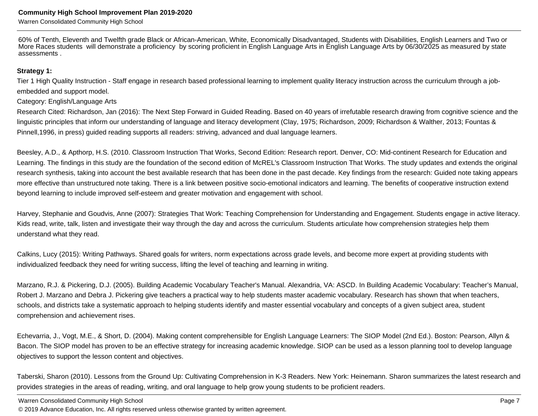Warren Consolidated Community High School

60% of Tenth, Eleventh and Twelfth grade Black or African-American, White, Economically Disadvantaged, Students with Disabilities, English Learners and Two or More Races students will demonstrate a proficiency by scoring proficient in English Language Arts in English Language Arts by 06/30/2025 as measured by stateassessments .

#### **Strategy 1:**

Tier 1 High Quality Instruction - Staff engage in research based professional learning to implement quality literacy instruction across the curriculum through a jobembedded and support model.

Category: English/Language Arts

Research Cited: Richardson, Jan (2016): The Next Step Forward in Guided Reading. Based on 40 years of irrefutable research drawing from cognitive science and thelinguistic principles that inform our understanding of language and literacy development (Clay, 1975; Richardson, 2009; Richardson & Walther, 2013; Fountas & Pinnell,1996, in press) guided reading supports all readers: striving, advanced and dual language learners.

Beesley, A.D., & Apthorp, H.S. (2010. Classroom Instruction That Works, Second Edition: Research report. Denver, CO: Mid-continent Research for Education andLearning. The findings in this study are the foundation of the second edition of McREL's Classroom Instruction That Works. The study updates and extends the originalresearch synthesis, taking into account the best available research that has been done in the past decade. Key findings from the research: Guided note taking appearsmore effective than unstructured note taking. There is a link between positive socio-emotional indicators and learning. The benefits of cooperative instruction extendbeyond learning to include improved self-esteem and greater motivation and engagement with school.

Harvey, Stephanie and Goudvis, Anne (2007): Strategies That Work: Teaching Comprehension for Understanding and Engagement. Students engage in active literacy.Kids read, write, talk, listen and investigate their way through the day and across the curriculum. Students articulate how comprehension strategies help themunderstand what they read.

Calkins, Lucy (2015): Writing Pathways. Shared goals for writers, norm expectations across grade levels, and become more expert at providing students withindividualized feedback they need for writing success, lifting the level of teaching and learning in writing.

Marzano, R.J. & Pickering, D.J. (2005). Building Academic Vocabulary Teacher's Manual. Alexandria, VA: ASCD. In Building Academic Vocabulary: Teacher's Manual,Robert J. Marzano and Debra J. Pickering give teachers a practical way to help students master academic vocabulary. Research has shown that when teachers,schools, and districts take a systematic approach to helping students identify and master essential vocabulary and concepts of a given subject area, studentcomprehension and achievement rises.

Echevarria, J., Vogt, M.E., & Short, D. (2004). Making content comprehensible for English Language Learners: The SIOP Model (2nd Ed.). Boston: Pearson, Allyn & Bacon. The SIOP model has proven to be an effective strategy for increasing academic knowledge. SIOP can be used as a lesson planning tool to develop languageobjectives to support the lesson content and objectives.

Taberski, Sharon (2010). Lessons from the Ground Up: Cultivating Comprehension in K-3 Readers. New York: Heinemann. Sharon summarizes the latest research andprovides strategies in the areas of reading, writing, and oral language to help grow young students to be proficient readers.

Warren Consolidated Community High School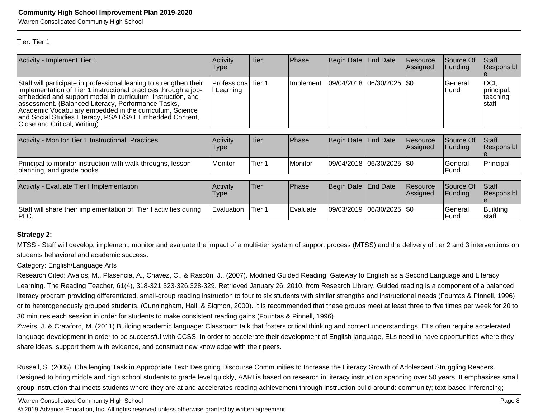Warren Consolidated Community High School

#### Tier: Tier 1

| Activity - Implement Tier 1                                                                                                                                                                                                                                                                                                                                                                                      | Activity<br><b>Type</b>        | Tier | <b>Phase</b> | Begin Date End Date                       | Resource<br><b>Assigned</b> | <b>Source Of</b><br>IFundina | <b>Staff</b><br> Responsibl                |
|------------------------------------------------------------------------------------------------------------------------------------------------------------------------------------------------------------------------------------------------------------------------------------------------------------------------------------------------------------------------------------------------------------------|--------------------------------|------|--------------|-------------------------------------------|-----------------------------|------------------------------|--------------------------------------------|
| Staff will participate in professional leaning to strengthen their<br>limplementation of Tier 1 instructional practices through a job-<br>embedded and support model in curriculum, instruction, and<br>assessment. (Balanced Literacy, Performance Tasks,<br>Academic Vocabulary embedded in the curriculum, Science<br>and Social Studies Literacy, PSAT/SAT Embedded Content,<br>Close and Critical, Writing) | Professiona Tier 1<br>Learning |      |              | Implement   09/04/2018   06/30/2025   \$0 |                             | lGeneral<br><b>IFund</b>     | loci,<br>principal,<br>Iteaching<br>Istaff |

| Activity - Monitor Tier 1 Instructional Practices                                         | <b>Activity</b><br>Type | 'Tier  | l Phase   | Begin Date End Date         | <b>Resource</b><br><b>Assigned</b> | Source Of<br><b>IFundina</b> | <b>Staff</b><br><b>Responsibl</b> |
|-------------------------------------------------------------------------------------------|-------------------------|--------|-----------|-----------------------------|------------------------------------|------------------------------|-----------------------------------|
| Principal to monitor instruction with walk-throughs, lesson<br>planning, and grade books. | Monitor                 | Tier 1 | l Monitor | 09/04/2018  06/30/2025  \$0 |                                    | l General<br>lFund           | Principal                         |

| Activity - Evaluate Tier I Implementation                                              | Activity<br>'Type | 'Tier  | <b>IPhase</b> | Begin Date End Date |                           | Resource<br><b>Assigned</b> | Source Of<br><b>IFundina</b> | Staff<br><b>Responsibl</b> |
|----------------------------------------------------------------------------------------|-------------------|--------|---------------|---------------------|---------------------------|-----------------------------|------------------------------|----------------------------|
| Staff will share their implementation of Tier I activities during<br><sup>I</sup> PLC. | <b>Evaluation</b> | Tier ۱ | l Evaluate    |                     | 09/03/2019 06/30/2025 \$0 |                             | l General<br>Fund            | Building<br>Istaff         |

### **Strategy 2:**

MTSS - Staff will develop, implement, monitor and evaluate the impact of a multi-tier system of support process (MTSS) and the delivery of tier 2 and 3 interventions onstudents behavioral and academic success.

### Category: English/Language Arts

 Research Cited: Avalos, M., Plasencia, A., Chavez, C., & Rascón, J.. (2007). Modified Guided Reading: Gateway to English as a Second Language and Literacy Learning. The Reading Teacher, 61(4), 318-321,323-326,328-329. Retrieved January 26, 2010, from Research Library. Guided reading is a component of a balanced literacy program providing differentiated, small-group reading instruction to four to six students with similar strengths and instructional needs (Fountas & Pinnell, 1996)or to heterogeneously grouped students. (Cunningham, Hall, & Sigmon, 2000). It is recommended that these groups meet at least three to five times per week for 20 to30 minutes each session in order for students to make consistent reading gains (Fountas & Pinnell, 1996).

Zweirs, J. & Crawford, M. (2011) Building academic language: Classroom talk that fosters critical thinking and content understandings. ELs often require acceleratedlanguage development in order to be successful with CCSS. In order to accelerate their development of English language, ELs need to have opportunities where they share ideas, support them with evidence, and construct new knowledge with their peers.

Russell, S. (2005). Challenging Task in Appropriate Text: Designing Discourse Communities to Increase the Literacy Growth of Adolescent Struggling Readers.Designed to bring middle and high school students to grade level quickly, AARI is based on research in literacy instruction spanning over 50 years. It emphasizes smallgroup instruction that meets students where they are at and accelerates reading achievement through instruction build around: community; text-based inferencing;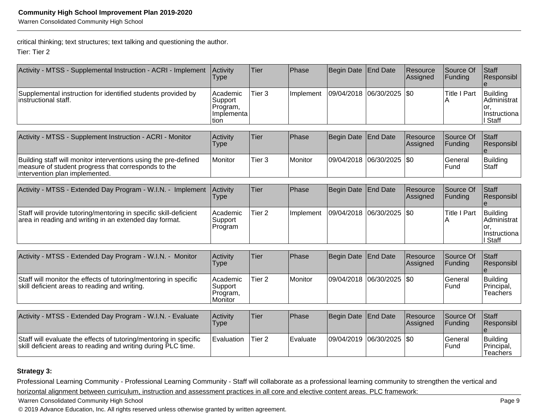critical thinking; text structures; text talking and questioning the author.

Tier: Tier 2

| Activity - MTSS - Supplemental Instruction - ACRI - Implement                                                                                            | Activity<br>Type                                       | Tier              | Phase     | <b>Begin Date</b> | <b>End Date</b> | Resource<br>Assigned | Source Of<br>Funding   | Staff<br>Responsibl                                       |
|----------------------------------------------------------------------------------------------------------------------------------------------------------|--------------------------------------------------------|-------------------|-----------|-------------------|-----------------|----------------------|------------------------|-----------------------------------------------------------|
| Supplemental instruction for identified students provided by<br>instructional staff.                                                                     | Academic<br>Support<br>Program,<br>Implementa<br>Ition | Tier <sub>3</sub> | Implement | 09/04/2018        | 06/30/2025      | \$0                  | <b>Title I Part</b>    | Building<br>Administrat<br>or.<br>Instructiona<br>I Staff |
| Activity - MTSS - Supplement Instruction - ACRI - Monitor                                                                                                | Activity<br><b>Type</b>                                | Tier              | Phase     | Begin Date        | <b>End Date</b> | Resource<br>Assigned | Source Of<br>Funding   | Staff<br>Responsibl                                       |
| Building staff will monitor interventions using the pre-defined<br>measure of student progress that corresponds to the<br>intervention plan implemented. | Monitor                                                | Tier <sub>3</sub> | Monitor   | 09/04/2018        | 06/30/2025      | \$0                  | <b>General</b><br>Fund | <b>Building</b><br><b>Staff</b>                           |
| Activity - MTSS - Extended Day Program - W.I.N. - Implement                                                                                              | Activity<br><b>Type</b>                                | Tier              | Phase     | Begin Date        | <b>End Date</b> | Resource<br>Assigned | Source Of<br>Funding   | Staff<br>Responsibl                                       |
| Staff will provide tutoring/mentoring in specific skill-deficient<br>area in reading and writing in an extended day format.                              | Academic<br>Support<br>Program                         | Tier <sub>2</sub> | Implement | 09/04/2018        | 06/30/2025      | \$0                  | <b>Title I Part</b>    | Building<br>Administrat<br>or.<br>Instructiona<br>Staff   |
| Activity - MTSS - Extended Day Program - W.I.N. - Monitor                                                                                                | Activity<br><b>Type</b>                                | Tier              | Phase     | <b>Begin Date</b> | <b>End Date</b> | Resource<br>Assigned | Source Of<br>Funding   | Staff<br>Responsibl                                       |
| Staff will monitor the effects of tutoring/mentoring in specific<br>skill deficient areas to reading and writing.                                        | Academic<br>Support<br>Program,<br>Monitor             | Tier <sub>2</sub> | Monitor   | 09/04/2018        | 06/30/2025      | \$0                  | General<br>lFund       | <b>Building</b><br>Principal,<br>Teachers                 |
| Activity - MTSS - Extended Day Program - W.I.N. - Evaluate                                                                                               | Activity<br><b>Type</b>                                | Tier              | Phase     | <b>Begin Date</b> | <b>End Date</b> | Resource<br>Assigned | Source Of<br>Funding   | Staff<br>Responsibl                                       |
| Staff will evaluate the effects of tutoring/mentoring in specific<br>skill deficient areas to reading and writing during PLC time.                       | Evaluation                                             | Tier <sub>2</sub> | Evaluate  | 09/04/2019        | 06/30/2025      | \$0                  | General<br>Fund        | Building<br>Principal,<br><b>Teachers</b>                 |

### **Strategy 3:**

Professional Learning Community - Professional Learning Community - Staff will collaborate as a professional learning community to strengthen the vertical andhorizontal alignment between curriculum, instruction and assessment practices in all core and elective content areas. PLC framework:

Warren Consolidated Community High School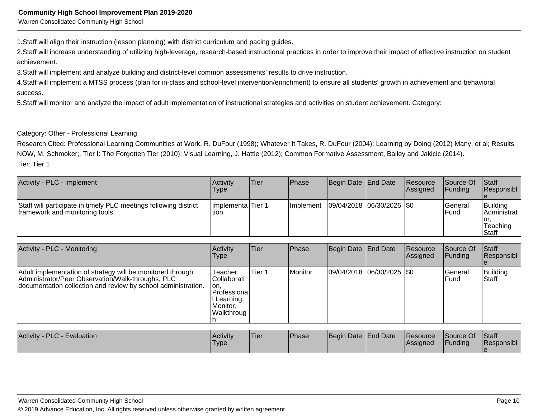Warren Consolidated Community High School

1. Staff will align their instruction (lesson planning) with district curriculum and pacing guides.

2. Staff will increase understanding of utilizing high-leverage, research-based instructional practices in order to improve their impact of effective instruction on student achievement.

3. Staff will implement and analyze building and district-level common assessments' results to drive instruction.

4. Staff will implement a MTSS process (plan for in-class and school-level intervention/enrichment) to ensure all students' growth in achievement and behavioral success.

5. Staff will monitor and analyze the impact of adult implementation of instructional strategies and activities on student achievement. Category:

### Category: Other - Professional Learning

 Research Cited: Professional Learning Communities at Work, R. DuFour (1998); Whatever It Takes, R. DuFour (2004); Learning by Doing (2012) Many, et al; ResultsNOW, M. Schmoker;. Tier I: The Forgotten Tier (2010); Visual Learning, J. Hattie (2012); Common Formative Assessment, Bailey and Jakicic (2014).Tier: Tier 1

| Activity - PLC - Implement                                                                          | <b>Activity</b><br>Type    | ∣Tier | <b>IPhase</b> | Begin Date End Date         | Resource<br>Assigned | <b>Source Of</b><br> Funding | <b>Staff</b><br><b>Responsibl</b>                       |
|-----------------------------------------------------------------------------------------------------|----------------------------|-------|---------------|-----------------------------|----------------------|------------------------------|---------------------------------------------------------|
| Staff will participate in timely PLC meetings following district<br>framework and monitoring tools. | Implementa Tier 1<br>!tion |       | Ilmplement    | 09/04/2018  06/30/2025  \$0 |                      | lGeneral<br>lFund            | Building<br> Administrat  <br>ior.<br>Teaching<br>Staff |

| Activity - PLC - Monitoring                                                                                                                                                      | Activity<br><b>Type</b>                                                                 | Tier   | <b>Phase</b> | Begin Date End Date |                               | Resource<br>Assigned | Source Of<br> Funding    | <b>Staff</b><br>Responsibl |
|----------------------------------------------------------------------------------------------------------------------------------------------------------------------------------|-----------------------------------------------------------------------------------------|--------|--------------|---------------------|-------------------------------|----------------------|--------------------------|----------------------------|
| Adult implementation of strategy will be monitored through<br>Administrator/Peer Observation/Walk-throughs, PLC<br>documentation collection and review by school administration. | Teacher<br>lCollaborati<br>lon.<br>Professiona<br>l Learning,<br>Monitor.<br>Walkthroug | Tier 1 | Monitor      |                     | $ 09/04/2018 06/30/2025 $ \$0 |                      | lGeneral<br><b>IFund</b> | Building<br><b>Staff</b>   |
|                                                                                                                                                                                  |                                                                                         |        |              |                     |                               |                      |                          |                            |

| <b>Activity</b><br>- PLC - Evaluation | <b>Activity</b><br>'Type | Tier | <b>Phase</b> | Begin Date End Date |  | Resource<br> Assigned | Source Of<br><b>Funding</b> | <b>Staff</b><br>Responsibl |
|---------------------------------------|--------------------------|------|--------------|---------------------|--|-----------------------|-----------------------------|----------------------------|
|---------------------------------------|--------------------------|------|--------------|---------------------|--|-----------------------|-----------------------------|----------------------------|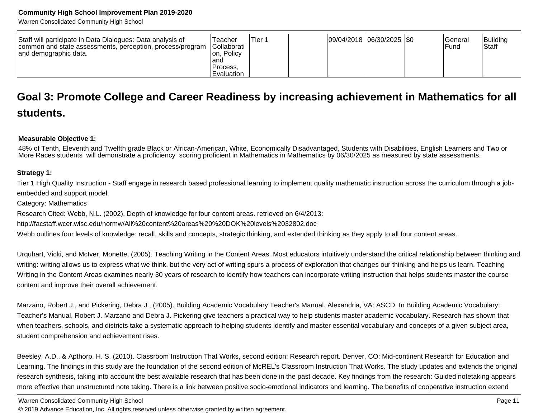Warren Consolidated Community High School

| Staff will participate in Data Dialogues: Data analysis of<br>common and state assessments, perception, process/program<br>and demographic data. | Геасһег<br>Collaborati<br>Ion. Policv<br>and: | Tier 1 | $ 09/04/2018 06/30/2025 $ \$0 |  | General<br>Fund | Building<br>Staff |
|--------------------------------------------------------------------------------------------------------------------------------------------------|-----------------------------------------------|--------|-------------------------------|--|-----------------|-------------------|
|                                                                                                                                                  | Process.                                      |        |                               |  |                 |                   |
|                                                                                                                                                  | Evaluation                                    |        |                               |  |                 |                   |

### **Goal 3: Promote College and Career Readiness by increasing achievement in Mathematics for allstudents.**

### **Measurable Objective 1:**

48% of Tenth, Eleventh and Twelfth grade Black or African-American, White, Economically Disadvantaged, Students with Disabilities, English Learners and Two or<br>More Races students will demonstrate a proficiency scoring prof

### **Strategy 1:**

Tier 1 High Quality Instruction - Staff engage in research based professional learning to implement quality mathematic instruction across the curriculum through a jobembedded and support model.

Category: Mathematics

Research Cited: Webb, N.L. (2002). Depth of knowledge for four content areas. retrieved on 6/4/2013:

http://facstaff.wcer.wisc.edu/normw/All%20content%20areas%20%20DOK%20levels%2032802.doc

Webb outlines four levels of knowledge: recall, skills and concepts, strategic thinking, and extended thinking as they apply to all four content areas.

Urquhart, Vicki, and McIver, Monette, (2005). Teaching Writing in the Content Areas. Most educators intuitively understand the critical relationship between thinking andwriting: writing allows us to express what we think, but the very act of writing spurs a process of exploration that changes our thinking and helps us learn. TeachingWriting in the Content Areas examines nearly 30 years of research to identify how teachers can incorporate writing instruction that helps students master the coursecontent and improve their overall achievement.

Marzano, Robert J., and Pickering, Debra J., (2005). Building Academic Vocabulary Teacher's Manual. Alexandria, VA: ASCD. In Building Academic Vocabulary:Teacher's Manual, Robert J. Marzano and Debra J. Pickering give teachers a practical way to help students master academic vocabulary. Research has shown thatwhen teachers, schools, and districts take a systematic approach to helping students identify and master essential vocabulary and concepts of a given subject area, student comprehension and achievement rises.

Beesley, A.D., & Apthorp. H. S. (2010). Classroom Instruction That Works, second edition: Research report. Denver, CO: Mid-continent Research for Education andLearning. The findings in this study are the foundation of the second edition of McREL's Classroom Instruction That Works. The study updates and extends the originalresearch synthesis, taking into account the best available research that has been done in the past decade. Key findings from the research: Guided notetaking appearsmore effective than unstructured note taking. There is a link between positive socio-emotional indicators and learning. The benefits of cooperative instruction extend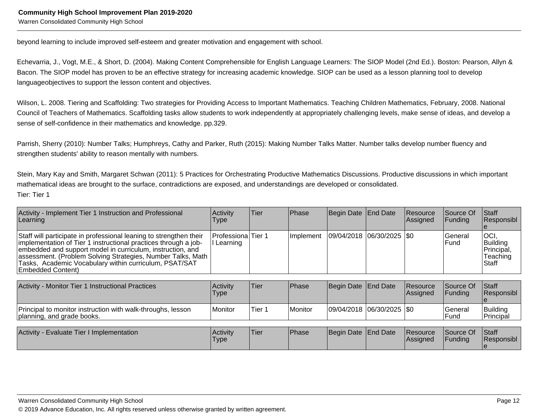beyond learning to include improved self-esteem and greater motivation and engagement with school.

Echevarria, J., Vogt, M.E., & Short, D. (2004). Making Content Comprehensible for English Language Learners: The SIOP Model (2nd Ed.). Boston: Pearson, Allyn &Bacon. The SIOP model has proven to be an effective strategy for increasing academic knowledge. SIOP can be used as a lesson planning tool to developlanguageobjectives to support the lesson content and objectives.

Wilson, L. 2008. Tiering and Scaffolding: Two strategies for Providing Access to Important Mathematics. Teaching Children Mathematics, February, 2008. NationalCouncil of Teachers of Mathematics. Scaffolding tasks allow students to work independently at appropriately challenging levels, make sense of ideas, and develop asense of self-confidence in their mathematics and knowledge. pp.329.

Parrish, Sherry (2010): Number Talks; Humphreys, Cathy and Parker, Ruth (2015): Making Number Talks Matter. Number talks develop number fluency andstrengthen students' ability to reason mentally with numbers.

Stein, Mary Kay and Smith, Margaret Schwan (2011): 5 Practices for Orchestrating Productive Mathematics Discussions. Productive discussions in which importantmathematical ideas are brought to the surface, contradictions are exposed, and understandings are developed or consolidated.Tier: Tier 1

| Activity - Implement Tier 1 Instruction and Professional<br>Learning                                                                                                                                                                                                                                                                                     | Activity<br>Type                 | Tier   | Phase     | Begin Date End Date |                             | Resource<br>Assigned        | Source Of<br><b>Funding</b> | <b>Staff</b><br>Responsibl                          |
|----------------------------------------------------------------------------------------------------------------------------------------------------------------------------------------------------------------------------------------------------------------------------------------------------------------------------------------------------------|----------------------------------|--------|-----------|---------------------|-----------------------------|-----------------------------|-----------------------------|-----------------------------------------------------|
| Staff will participate in professional leaning to strengthen their<br>implementation of Tier 1 instructional practices through a job-<br>embedded and support model in curriculum, instruction, and<br>assessment. (Problem Solving Strategies, Number Talks, Math<br>Tasks, Academic Vocabulary within curriculum, PSAT/SAT<br><b>Embedded Content)</b> | Professiona Tier 1<br>l Learning |        | Implement |                     | 09/04/2018  06/30/2025  \$0 |                             | General<br>Fund             | OCI.<br>Building<br>Principal,<br>Teaching<br>Staff |
| Activity - Monitor Tier 1 Instructional Practices                                                                                                                                                                                                                                                                                                        | Activity<br>Type                 | Tier   | Phase     | Begin Date End Date |                             | Resource<br><b>Assigned</b> | Source Of<br>Funding        | <b>Staff</b><br> Responsibl                         |
| Principal to monitor instruction with walk-throughs, lesson<br>planning, and grade books.                                                                                                                                                                                                                                                                | <b>Monitor</b>                   | Tier 1 | Monitor   |                     | 09/04/2018  06/30/2025  \$0 |                             | General<br>Fund             | Building<br>Principal                               |
| Activity - Evaluate Tier I Implementation                                                                                                                                                                                                                                                                                                                | Activity<br>Type                 | Tier   | Phase     | Begin Date End Date |                             | Resource<br><b>Assigned</b> | Source Of<br>Funding        | Staff<br>Responsibl<br>le                           |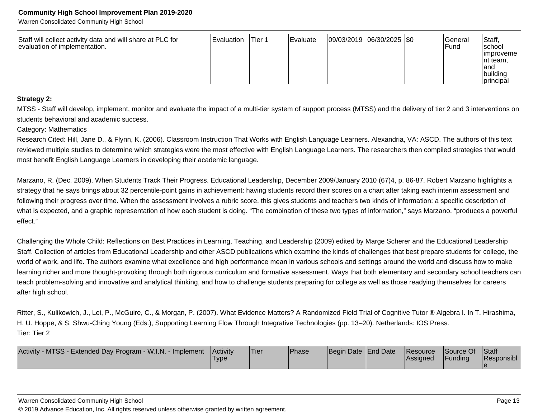Warren Consolidated Community High School

| Staff will collect activity data and will share at PLC for<br>evaluation of implementation. | <b>Evaluation</b> | lTier 1 | <b>IEvaluate</b> | $ 09/03/2019 06/30/2025 $ \$0 |  |  | General<br><b>IFund</b> | Staff,<br>Ischool<br>limproveme<br>Int team,<br>land<br> building<br>principal |
|---------------------------------------------------------------------------------------------|-------------------|---------|------------------|-------------------------------|--|--|-------------------------|--------------------------------------------------------------------------------|
|---------------------------------------------------------------------------------------------|-------------------|---------|------------------|-------------------------------|--|--|-------------------------|--------------------------------------------------------------------------------|

### **Strategy 2:**

MTSS - Staff will develop, implement, monitor and evaluate the impact of a multi-tier system of support process (MTSS) and the delivery of tier 2 and 3 interventions onstudents behavioral and academic success.

### Category: Mathematics

Research Cited: Hill, Jane D., & Flynn, K. (2006). Classroom Instruction That Works with English Language Learners. Alexandria, VA: ASCD. The authors of this textreviewed multiple studies to determine which strategies were the most effective with English Language Learners. The researchers then compiled strategies that wouldmost benefit English Language Learners in developing their academic language.

Marzano, R. (Dec. 2009). When Students Track Their Progress. Educational Leadership, December 2009/January 2010 (67)4, p. 86-87. Robert Marzano highlights a strategy that he says brings about 32 percentile-point gains in achievement: having students record their scores on a chart after taking each interim assessment andfollowing their progress over time. When the assessment involves a rubric score, this gives students and teachers two kinds of information: a specific description of what is expected, and a graphic representation of how each student is doing. "The combination of these two types of information," says Marzano, "produces a powerfuleffect."

Challenging the Whole Child: Reflections on Best Practices in Learning, Teaching, and Leadership (2009) edited by Marge Scherer and the Educational Leadership Staff. Collection of articles from Educational Leadership and other ASCD publications which examine the kinds of challenges that best prepare students for college, theworld of work, and life. The authors examine what excellence and high performance mean in various schools and settings around the world and discuss how to makelearning richer and more thought-provoking through both rigorous curriculum and formative assessment. Ways that both elementary and secondary school teachers can teach problem-solving and innovative and analytical thinking, and how to challenge students preparing for college as well as those readying themselves for careersafter high school.

Ritter, S., Kulikowich, J., Lei, P., McGuire, C., & Morgan, P. (2007). What Evidence Matters? A Randomized Field Trial of Cognitive Tutor ® Algebra I. In T. Hirashima, H. U. Hoppe, & S. Shwu-Ching Young (Eds.), Supporting Learning Flow Through Integrative Technologies (pp. 13–20). Netherlands: IOS Press.Tier: Tier 2

| / - MTSS - Extended Day Program - W.I.N. - Implement<br><b>Activity</b> | <b>Activity</b><br><b>Type</b> | <sup>1</sup> Tier | <b>Phase</b> | Begin Date End Date | Resource<br> Assigned | Source Of<br>Funding | <b>Staff</b><br>Responsibl |
|-------------------------------------------------------------------------|--------------------------------|-------------------|--------------|---------------------|-----------------------|----------------------|----------------------------|
|                                                                         |                                |                   |              |                     |                       |                      |                            |

#### Warren Consolidated Community High School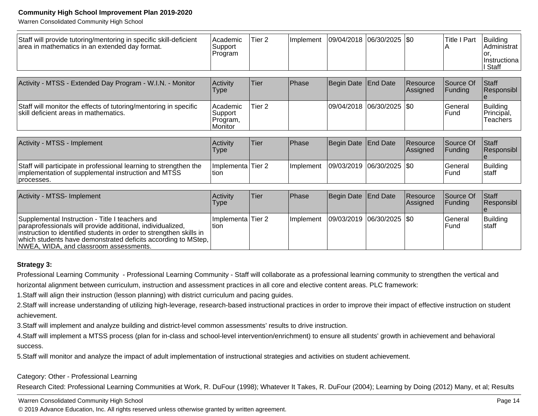Warren Consolidated Community High School

| Staff will provide tutoring/mentoring in specific skill-deficient<br>area in mathematics in an extended day format.                                                                                                                                                                             | Academic<br>Support<br>Program             | Tier 2            | Implement | 09/04/2018 | $ 06/30/2025 $ \$0 |                       | <b>Title I Part</b>  | Building<br>Administrat<br>or.<br>Instructiona<br>I Staff |
|-------------------------------------------------------------------------------------------------------------------------------------------------------------------------------------------------------------------------------------------------------------------------------------------------|--------------------------------------------|-------------------|-----------|------------|--------------------|-----------------------|----------------------|-----------------------------------------------------------|
| Activity - MTSS - Extended Day Program - W.I.N. - Monitor                                                                                                                                                                                                                                       | Activity<br>Type                           | Tier              | Phase     | Begin Date | End Date           | Resource<br> Assigned | Source Of<br>Funding | Staff<br>Responsibl                                       |
| Staff will monitor the effects of tutoring/mentoring in specific<br>skill deficient areas in mathematics.                                                                                                                                                                                       | Academic<br>Support<br>Program,<br>Monitor | Tier <sub>2</sub> |           | 09/04/2018 | 06/30/2025         | \$0                   | General<br>Fund      | <b>Building</b><br>Principal,<br>Teachers                 |
| Activity - MTSS - Implement                                                                                                                                                                                                                                                                     | Activity<br>Type                           | Tier              | Phase     | Begin Date | <b>End Date</b>    | Resource<br>Assigned  | Source Of<br>Funding | Staff<br>Responsibl                                       |
| Staff will participate in professional learning to strengthen the<br>implementation of supplemental instruction and MTSS<br>processes.                                                                                                                                                          | Implementa Tier 2<br>ltion.                |                   | Implement | 09/03/2019 | 06/30/2025         | \$0                   | General<br>Fund      | <b>Building</b><br>Istaff                                 |
| Activity - MTSS- Implement                                                                                                                                                                                                                                                                      | Activity<br>Type                           | Tier              | Phase     | Begin Date | End Date           | Resource<br>Assigned  | Source Of<br>Funding | Staff<br>Responsibl                                       |
| Supplemental Instruction - Title I teachers and<br>paraprofessionals will provide additional, individualized,<br>instruction to identified students in order to strengthen skills in<br>which students have demonstrated deficits according to MStep,<br>NWEA, WIDA, and classroom assessments. | Implementa<br>tion                         | Tier <sub>2</sub> | Implement | 09/03/2019 | 06/30/2025         | I\$0                  | General<br>Fund      | Building<br> staff                                        |

### **Strategy 3:**

Professional Learning Community - Professional Learning Community - Staff will collaborate as a professional learning community to strengthen the vertical andhorizontal alignment between curriculum, instruction and assessment practices in all core and elective content areas. PLC framework:

1. Staff will align their instruction (lesson planning) with district curriculum and pacing guides.

2. Staff will increase understanding of utilizing high-leverage, research-based instructional practices in order to improve their impact of effective instruction on student achievement.

3. Staff will implement and analyze building and district-level common assessments' results to drive instruction.

4. Staff will implement a MTSS process (plan for in-class and school-level intervention/enrichment) to ensure all students' growth in achievement and behavioral success.

5. Staff will monitor and analyze the impact of adult implementation of instructional strategies and activities on student achievement.

### Category: Other - Professional Learning

Research Cited: Professional Learning Communities at Work, R. DuFour (1998); Whatever It Takes, R. DuFour (2004); Learning by Doing (2012) Many, et al; Results

#### Warren Consolidated Community High School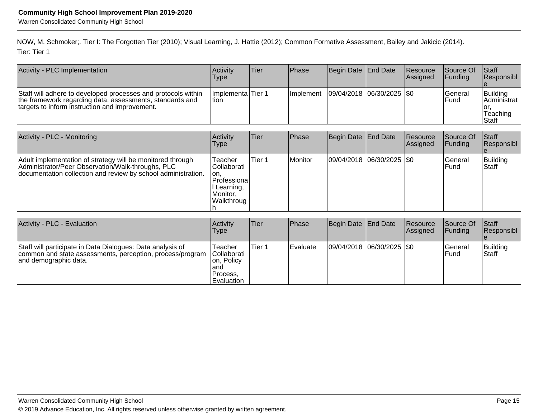NOW, M. Schmoker;. Tier I: The Forgotten Tier (2010); Visual Learning, J. Hattie (2012); Common Formative Assessment, Bailey and Jakicic (2014).Tier: Tier 1

| Activity - PLC Implementation                                                                                                                                               | <b>Activity</b><br>Type       | Tier | <b>IPhase</b>     | Begin Date   End Date   | Resource<br><b>Assigned</b> | <b>Source Of</b><br><b>IFunding</b> | <b>Staff</b><br>Responsibl                                    |
|-----------------------------------------------------------------------------------------------------------------------------------------------------------------------------|-------------------------------|------|-------------------|-------------------------|-----------------------------|-------------------------------------|---------------------------------------------------------------|
| Staff will adhere to developed processes and protocols within<br>the framework regarding data, assessments, standards and<br>targets to inform instruction and improvement. | Ilmplementa lTier 1<br>ltion. |      | <b>Ilmplement</b> | 09/04/2018 06/30/2025 0 |                             | lGeneral<br><b>IFund</b>            | <b>IBuildina</b><br>IAdministrat<br>Tor.<br>Teaching<br>Staff |

| Activity - PLC - Monitoring                                                                                                                                                      | Activity<br><b>Type</b>                                                                | Tier   | <b>Phase</b> | Begin Date   End Date      | Resource<br>Assigned | lSource Of<br>IFundina. | Staff<br>Responsibl      |
|----------------------------------------------------------------------------------------------------------------------------------------------------------------------------------|----------------------------------------------------------------------------------------|--------|--------------|----------------------------|----------------------|-------------------------|--------------------------|
| Adult implementation of strategy will be monitored through<br>Administrator/Peer Observation/Walk-throughs, PLC<br>documentation collection and review by school administration. | Teacher<br>Collaborati<br>lon.<br>Professiona<br>I Learning,<br>Monitor.<br>Walkthroug | Tier 1 | Monitor      | 09/04/2018 06/30/2025  \$0 |                      | lGeneral<br>l Fund      | Building<br><b>Staff</b> |

| Activity - PLC - Evaluation                                                                                                                      | Activity<br><b>Type</b>                                                        | Tier   | <b>Phase</b> | Begin Date   End Date         | Resource<br><b>Assigned</b> | Source Of<br><b>Funding</b> | <b>Staff</b><br>Responsibl |
|--------------------------------------------------------------------------------------------------------------------------------------------------|--------------------------------------------------------------------------------|--------|--------------|-------------------------------|-----------------------------|-----------------------------|----------------------------|
| Staff will participate in Data Dialogues: Data analysis of<br>common and state assessments, perception, process/program<br>and demographic data. | Teacher<br><b>Collaborati</b><br>on, Policy<br>land<br>Process.<br>lEvaluation | Tier 1 | l Evaluate   | $ 09/04/2018 06/30/2025 $ \$0 |                             | lGeneral<br>lFund           | Building<br><b>Staff</b>   |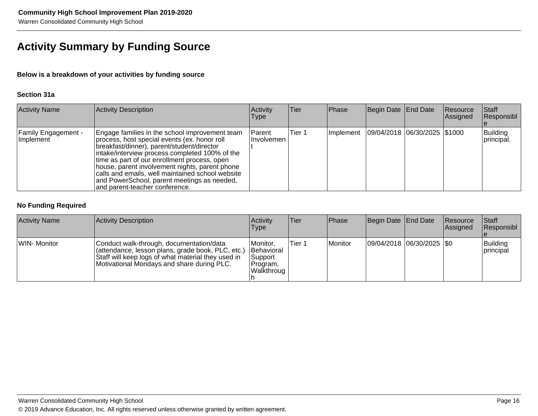### **Activity Summary by Funding Source**

### **Below is a breakdown of your activities by funding source**

### **Section 31a**

| <b>Activity Name</b>                    | Activity Description                                                                                                                                                                                                                                                                                                                                                                                                                   | Activity<br>Type        | Tier   | Phase     | Begin Date End Date |                              | Resource<br>Assigned | Staff<br>Responsibl    |
|-----------------------------------------|----------------------------------------------------------------------------------------------------------------------------------------------------------------------------------------------------------------------------------------------------------------------------------------------------------------------------------------------------------------------------------------------------------------------------------------|-------------------------|--------|-----------|---------------------|------------------------------|----------------------|------------------------|
| <b>Family Engagement -</b><br>Implement | Engage families in the school improvement team<br>process, host special events (ex. honor roll<br>breakfast/dinner), parent/student/director<br>intake/interview process completed 100% of the<br>time as part of our enrollment process, open<br>lhouse, parent involvement nights, parent phone<br>calls and emails, well maintained school website<br>and PowerSchool, parent meetings as needed,<br>and parent-teacher conference. | l Parent<br>IInvolvemen | Tier 1 | Implement |                     | 09/04/2018 06/30/2025 \$1000 |                      | Building<br>principal. |

### **No Funding Required**

| <b>Activity Name</b> | Activity Description                                                                                                                                                                              | Activity<br> Type                                                   | <b>Tier</b> | Phase   | Begin Date End Date |                               | Resource<br><b>Assigned</b> | Staff<br> Responsibl  |
|----------------------|---------------------------------------------------------------------------------------------------------------------------------------------------------------------------------------------------|---------------------------------------------------------------------|-------------|---------|---------------------|-------------------------------|-----------------------------|-----------------------|
| WIN- Monitor         | Conduct walk-through, documentation/data<br>(attendance, lesson plans, grade book, PLC, etc.)<br>Staff will keep logs of what material they used in<br>Motivational Mondays and share during PLC. | Monitor,<br><b>Behavioral</b><br> Support<br>Program,<br>Walkthroug | 'Tier 1     | Monitor |                     | $ 09/04/2018 06/30/2025 $ \$0 |                             | Building<br>principal |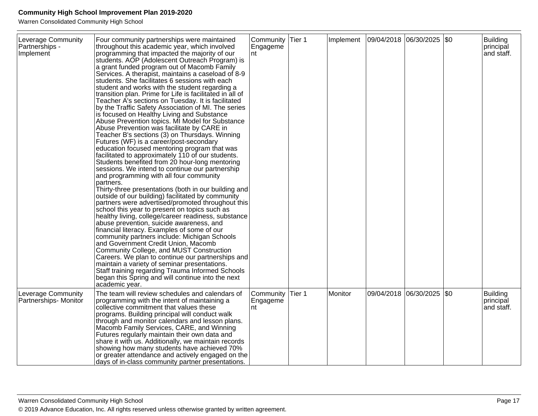Warren Consolidated Community High School

| Leverage Community<br><b>Partnerships -</b><br>Implement | Four community partnerships were maintained<br>throughout this academic year, which involved<br>programming that impacted the majority of our<br>students. AOP (Adolescent Outreach Program) is<br>a grant funded program out of Macomb Family<br>Services. A therapist, maintains a caseload of 8-9<br>students. She facilitates 6 sessions with each<br>student and works with the student regarding a<br>transition plan. Prime for Life is facilitated in all of<br>Teacher A's sections on Tuesday. It is facilitated<br>by the Traffic Safety Association of MI. The series<br>is focused on Healthy Living and Substance<br>Abuse Prevention topics. MI Model for Substance<br>Abuse Prevention was facilitate by CARE in<br>Teacher B's sections (3) on Thursdays. Winning<br>Futures (WF) is a career/post-secondary<br>education focused mentoring program that was<br>facilitated to approximately 110 of our students.<br>Students benefited from 20 hour-long mentoring<br>sessions. We intend to continue our partnership<br>and programming with all four community<br>partners.<br>Thirty-three presentations (both in our building and<br>outside of our building) facilitated by community<br>partners were advertised/promoted throughout this<br>school this year to present on topics such as<br>healthy living, college/career readiness, substance<br>abuse prevention, suicide awareness, and<br>financial literacy. Examples of some of our<br>community partners include: Michigan Schools<br>and Government Credit Union, Macomb<br>Community College, and MUST Construction<br>Careers. We plan to continue our partnerships and<br>maintain a variety of seminar presentations.<br>Staff training regarding Trauma Informed Schools<br>began this Spring and will continue into the next<br>academic year. | Community<br>Engageme<br>nt | Tier 1 | Implement | $ 09/04/2018 06/30/2025 $ \$0 |                           | Building<br>principal<br>and staff. |
|----------------------------------------------------------|-----------------------------------------------------------------------------------------------------------------------------------------------------------------------------------------------------------------------------------------------------------------------------------------------------------------------------------------------------------------------------------------------------------------------------------------------------------------------------------------------------------------------------------------------------------------------------------------------------------------------------------------------------------------------------------------------------------------------------------------------------------------------------------------------------------------------------------------------------------------------------------------------------------------------------------------------------------------------------------------------------------------------------------------------------------------------------------------------------------------------------------------------------------------------------------------------------------------------------------------------------------------------------------------------------------------------------------------------------------------------------------------------------------------------------------------------------------------------------------------------------------------------------------------------------------------------------------------------------------------------------------------------------------------------------------------------------------------------------------------------------------------------------------------------------------------------------------------|-----------------------------|--------|-----------|-------------------------------|---------------------------|-------------------------------------|
| Leverage Community<br>Partnerships-Monitor               | The team will review schedules and calendars of<br>programming with the intent of maintaining a<br>collective commitment that values these<br>programs. Building principal will conduct walk<br>through and monitor calendars and lesson plans.<br>Macomb Family Services, CARE, and Winning<br>Futures regularly maintain their own data and<br>share it with us. Additionally, we maintain records<br>showing how many students have achieved 70%<br>or greater attendance and actively engaged on the<br>days of in-class community partner presentations.                                                                                                                                                                                                                                                                                                                                                                                                                                                                                                                                                                                                                                                                                                                                                                                                                                                                                                                                                                                                                                                                                                                                                                                                                                                                           | Community<br>Engageme<br>nt | Tier 1 | Monitor   |                               | 09/04/2018 06/30/2025 \$0 | Building<br>principal<br>and staff. |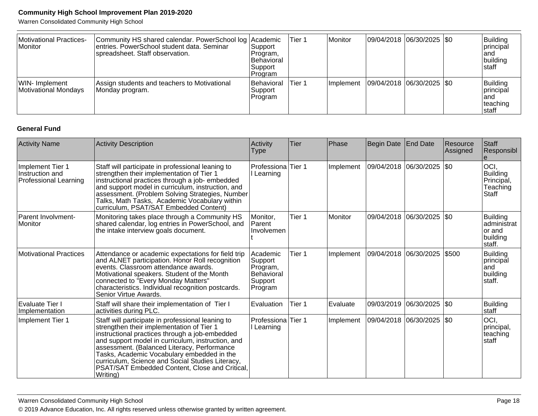Warren Consolidated Community High School

| Motivational Practices-<br>Monitor     | Community HS shared calendar. PowerSchool log Academic<br>entries. PowerSchool student data. Seminar<br>spreadsheet. Staff observation. | Support<br>Program,<br><b>IBehavioral</b><br>Support<br> Program | Tier 1 | Monitor          | 09/04/2018 06/30/2025 \$0   |  | Building<br>principal<br>land<br>building<br>Istaff |
|----------------------------------------|-----------------------------------------------------------------------------------------------------------------------------------------|------------------------------------------------------------------|--------|------------------|-----------------------------|--|-----------------------------------------------------|
| WIN- Implement<br>Motivational Mondays | Assign students and teachers to Motivational<br>Monday program.                                                                         | Behavioral<br>Support<br>Program                                 | Tier 1 | <i>Implement</i> | 09/04/2018  06/30/2025  \$0 |  | Building<br>principal<br>land<br>teaching<br>Istaff |

### **General Fund**

| <b>Activity Name</b>                                                | <b>Activity Description</b>                                                                                                                                                                                                                                                                                                                                                                                          | Activity<br><b>Type</b>                                             | Tier   | Phase     | Begin Date                | <b>End Date</b>    | Resource<br>Assigned | Staff<br>Responsibl<br>e                                          |
|---------------------------------------------------------------------|----------------------------------------------------------------------------------------------------------------------------------------------------------------------------------------------------------------------------------------------------------------------------------------------------------------------------------------------------------------------------------------------------------------------|---------------------------------------------------------------------|--------|-----------|---------------------------|--------------------|----------------------|-------------------------------------------------------------------|
| Implement Tier 1<br>Instruction and<br><b>Professional Learning</b> | Staff will participate in professional leaning to<br>strengthen their implementation of Tier 1<br>instructional practices through a job- embedded<br>and support model in curriculum, instruction, and<br>assessment. (Problem Solving Strategies, Number<br>Talks, Math Tasks, Academic Vocabulary within<br>curriculum, PSAT/SAT Embedded Content)                                                                 | Professiona<br>Learning                                             | Tier 1 | Implement | 09/04/2018                | 06/30/2025         | \$0                  | OCI,<br><b>Building</b><br>Principal,<br>Teaching<br><b>Staff</b> |
| Parent Involvment-<br>Monitor                                       | Monitoring takes place through a Community HS<br>shared calendar, log entries in PowerSchool, and<br>the intake interview goals document.                                                                                                                                                                                                                                                                            | Monitor,<br><b>Parent</b><br>Involvemen                             | Tier 1 | Monitor   | 09/04/2018                | $ 06/30/2025 $ \$0 |                      | Building<br>administrat<br>lor and<br>building<br>staff.          |
| <b>Motivational Practices</b>                                       | Attendance or academic expectations for field trip<br>and ALNET participation. Honor Roll recognition<br>events. Classroom attendance awards.<br>Motivational speakers. Student of the Month<br>connected to "Every Monday Matters"<br>characteristics. Individual recognition postcards.<br>Senior Virtue Awards.                                                                                                   | Academic<br>Support<br>Program,<br>Behavioral<br>Support<br>Program | Tier 1 | Implement | 09/04/2018                | 06/30/2025         | \$500                | <b>Building</b><br>principal<br>land<br>building<br>staff.        |
| <b>Evaluate Tier I</b><br>Implementation                            | Staff will share their implementation of Tier I<br>activities during PLC.                                                                                                                                                                                                                                                                                                                                            | Evaluation                                                          | Tier 1 | Evaluate  | 09/03/2019                | $ 06/30/2025 $ \$0 |                      | <b>Building</b><br>staff                                          |
| Implement Tier 1                                                    | Staff will participate in professional leaning to<br>strengthen their implementation of Tier 1<br>instructional practices through a job-embedded<br>and support model in curriculum, instruction, and<br>assessment. (Balanced Literacy, Performance<br>Tasks, Academic Vocabulary embedded in the<br>curriculum, Science and Social Studies Literacy,<br>PSAT/SAT Embedded Content, Close and Critical,<br>Writing) | Professiona<br>Learning                                             | Tier 1 | Implement | 09/04/2018 06/30/2025 \$0 |                    |                      | OCI,<br>principal,<br>teaching<br>staff                           |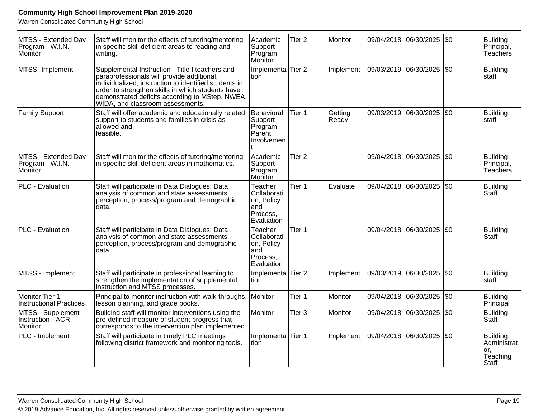Warren Consolidated Community High School

| MTSS - Extended Day<br>Program - W.I.N. -<br>Monitor | Staff will monitor the effects of tutoring/mentoring<br>in specific skill deficient areas to reading and<br>writing.                                                                                                                                                                               | Academic<br>Support<br>Program,<br>Monitor                            | Tier <sub>2</sub> | Monitor          |            | 09/04/2018 06/30/2025 \$0   |     | Building<br>Principal,<br>Teachers                         |
|------------------------------------------------------|----------------------------------------------------------------------------------------------------------------------------------------------------------------------------------------------------------------------------------------------------------------------------------------------------|-----------------------------------------------------------------------|-------------------|------------------|------------|-----------------------------|-----|------------------------------------------------------------|
| MTSS- Implement                                      | Supplemental Instruction - Title I teachers and<br>paraprofessionals will provide additional,<br>individualized, instruction to identified students in<br>order to strengthen skills in which students have<br>demonstrated deficits according to MStep, NWEA,<br>WIDA, and classroom assessments. | Implementa<br>tion                                                    | Tier <sub>2</sub> | Implement        | 09/03/2019 | 06/30/2025                  | \$0 | <b>Building</b><br>staff                                   |
| <b>Family Support</b>                                | Staff will offer academic and educationally related<br>support to students and families in crisis as<br>allowed and<br>feasible.                                                                                                                                                                   | Behavioral<br>Support<br>Program,<br>Parent<br>Involvemen             | Tier 1            | Getting<br>Ready |            | 09/03/2019 06/30/2025   \$0 |     | <b>Building</b><br>staff                                   |
| MTSS - Extended Day<br>Program - W.I.N. -<br>Monitor | Staff will monitor the effects of tutoring/mentoring<br>in specific skill deficient areas in mathematics.                                                                                                                                                                                          | Academic<br>Support<br>Program,<br>Monitor                            | Tier <sub>2</sub> |                  |            | 09/04/2018 06/30/2025       | \$0 | <b>Building</b><br>Principal,<br><b>Teachers</b>           |
| PLC - Evaluation                                     | Staff will participate in Data Dialogues: Data<br>analysis of common and state assessments,<br>perception, process/program and demographic<br>data.                                                                                                                                                | Teacher<br>Collaborati<br>on, Policy<br>and<br>Process,<br>Evaluation | Tier <sub>1</sub> | Evaluate         | 09/04/2018 | 06/30/2025                  | \$0 | <b>Building</b><br><b>Staff</b>                            |
| PLC - Evaluation                                     | Staff will participate in Data Dialogues: Data<br>analysis of common and state assessments,<br>perception, process/program and demographic<br>data.                                                                                                                                                | Teacher<br>Collaborati<br>on, Policy<br>and<br>Process,<br>Evaluation | Tier 1            |                  | 09/04/2018 | 06/30/2025                  | \$0 | <b>Building</b><br><b>Staff</b>                            |
| MTSS - Implement                                     | Staff will participate in professional learning to<br>strengthen the implementation of supplemental<br>instruction and MTSS processes.                                                                                                                                                             | Implementa Tier 2<br>tion                                             |                   | Implement        | 09/03/2019 | 06/30/2025                  | \$0 | <b>Building</b><br>staff                                   |
| Monitor Tier 1<br><b>Instructional Practices</b>     | Principal to monitor instruction with walk-throughs,<br>lesson planning, and grade books.                                                                                                                                                                                                          | Monitor                                                               | Tier 1            | Monitor          |            | 09/04/2018 06/30/2025       | \$0 | <b>Building</b><br>Principal                               |
| MTSS - Supplement<br>Instruction - ACRI -<br>Monitor | Building staff will monitor interventions using the<br>pre-defined measure of student progress that<br>corresponds to the intervention plan implemented.                                                                                                                                           | Monitor                                                               | Tier 3            | Monitor          |            | 09/04/2018 06/30/2025 \$0   |     | <b>Building</b><br>Staff                                   |
| PLC - Implement                                      | Staff will participate in timely PLC meetings<br>following district framework and monitoring tools.                                                                                                                                                                                                | Implementa Tier 1<br>tion                                             |                   | Implement        |            | 09/04/2018  06/30/2025  \$0 |     | <b>Building</b><br>Administrat<br>or,<br>Teaching<br>Staff |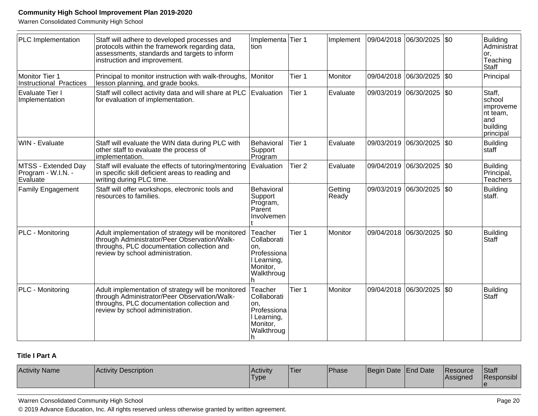Warren Consolidated Community High School

| PLC Implementation                                    | Staff will adhere to developed processes and<br>protocols within the framework regarding data,<br>assessments, standards and targets to inform<br>instruction and improvement.       | Implementa<br>ltion                                                                 | Tier 1            | Implement        | 09/04/2018 | $ 06/30/2025 $ \$0          |     | <b>Building</b><br>Administrat<br>or.<br>Teaching<br><b>Staff</b>          |
|-------------------------------------------------------|--------------------------------------------------------------------------------------------------------------------------------------------------------------------------------------|-------------------------------------------------------------------------------------|-------------------|------------------|------------|-----------------------------|-----|----------------------------------------------------------------------------|
| Monitor Tier 1<br><b>Instructional Practices</b>      | Principal to monitor instruction with walk-throughs,<br>lesson planning, and grade books.                                                                                            | Monitor                                                                             | Tier 1            | Monitor          | 09/04/2018 | 06/30/2025                  | \$0 | Principal                                                                  |
| Evaluate Tier I<br>Implementation                     | Staff will collect activity data and will share at PLC<br>for evaluation of implementation.                                                                                          | Evaluation                                                                          | Tier 1            | Evaluate         | 09/03/2019 | 06/30/2025                  | \$0 | Staff,<br>school<br>improveme<br>nt team,<br>land<br>building<br>principal |
| WIN - Evaluate                                        | Staff will evaluate the WIN data during PLC with<br>other staff to evaluate the process of<br>implementation.                                                                        | Behavioral<br>Support<br>Program                                                    | Tier 1            | Evaluate         |            | 09/03/2019 06/30/2025   \$0 |     | <b>Building</b><br>staff                                                   |
| MTSS - Extended Day<br>Program - W.I.N. -<br>Evaluate | Staff will evaluate the effects of tutoring/mentoring<br>in specific skill deficient areas to reading and<br>writing during PLC time.                                                | Evaluation                                                                          | Tier <sub>2</sub> | Evaluate         | 09/04/2019 | 06/30/2025                  | \$0 | <b>Building</b><br>Principal,<br>Teachers                                  |
| <b>Family Engagement</b>                              | Staff will offer workshops, electronic tools and<br>resources to families.                                                                                                           | Behavioral<br>Support<br>Program,<br>Parent<br>Involvemen                           |                   | Getting<br>Ready | 09/03/2019 | 06/30/2025                  | \$0 | <b>Building</b><br>staff.                                                  |
| PLC - Monitoring                                      | Adult implementation of strategy will be monitored<br>through Administrator/Peer Observation/Walk-<br>throughs, PLC documentation collection and<br>review by school administration. | Teacher<br>Collaborati<br>on.<br>Professiona<br>Learning,<br>Monitor,<br>Walkthroug | Tier 1            | Monitor          |            | 09/04/2018 06/30/2025       | \$0 | <b>Building</b><br>Staff                                                   |
| PLC - Monitoring                                      | Adult implementation of strategy will be monitored<br>through Administrator/Peer Observation/Walk-<br>throughs, PLC documentation collection and<br>review by school administration. | Teacher<br>Collaborati<br>on.<br>Professiona<br>Learning,<br>Monitor,<br>Walkthroug | Tier 1            | Monitor          | 09/04/2018 | 06/30/2025                  | \$0 | <b>Building</b><br>Staff                                                   |

### **Title I Part A**

| <b>Activity Name</b> | Activity Description | Activity<br>'Type | 'Tier | 'Phase | Begin Date End Date |  | <b>Resource</b><br><b>Assigned</b> | <b>Staff</b><br>Responsibl |
|----------------------|----------------------|-------------------|-------|--------|---------------------|--|------------------------------------|----------------------------|
|----------------------|----------------------|-------------------|-------|--------|---------------------|--|------------------------------------|----------------------------|

Warren Consolidated Community High School